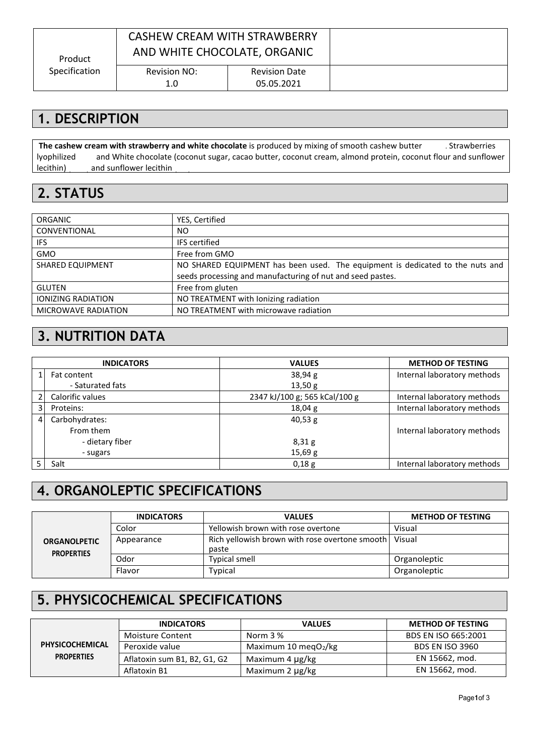| Product       | CASHEW CREAM WITH STRAWBERRY<br>AND WHITE CHOCOLATE, ORGANIC |                                    |  |
|---------------|--------------------------------------------------------------|------------------------------------|--|
| Specification | Revision NO:<br>1.0                                          | <b>Revision Date</b><br>05.05.2021 |  |

## **1. DESCRIPTION**

**The cashew cream with strawberry and white chocolate** is produced by mixing of smooth cashew butter (80%), Strawberries lyophilized and White chocolate (coconut sugar, cacao butter, coconut cream, almond protein, coconut flour and sunflower lecithin) and sunflower lecithin

### **2. STATUS**

| <b>ORGANIC</b>             | YES, Certified                                                                |
|----------------------------|-------------------------------------------------------------------------------|
| CONVENTIONAL               | NO.                                                                           |
| IFS.                       | <b>IFS</b> certified                                                          |
| <b>GMO</b>                 | Free from GMO                                                                 |
| <b>SHARED EQUIPMENT</b>    | NO SHARED EQUIPMENT has been used. The equipment is dedicated to the nuts and |
|                            | seeds processing and manufacturing of nut and seed pastes.                    |
| <b>GLUTEN</b>              | Free from gluten                                                              |
| <b>IONIZING RADIATION</b>  | NO TREATMENT with lonizing radiation                                          |
| <b>MICROWAVE RADIATION</b> | NO TREATMENT with microwave radiation                                         |

#### **3. NUTRITION DATA**

|   | <b>INDICATORS</b> | <b>VALUES</b>                 | <b>METHOD OF TESTING</b>    |
|---|-------------------|-------------------------------|-----------------------------|
|   | Fat content       | 38,94 g                       | Internal laboratory methods |
|   | - Saturated fats  | 13,50 g                       |                             |
|   | Calorific values  | 2347 kJ/100 g; 565 kCal/100 g | Internal laboratory methods |
| 3 | Proteins:         | 18,04 g                       | Internal laboratory methods |
| 4 | Carbohydrates:    | 40,53 g                       |                             |
|   | From them         |                               | Internal laboratory methods |
|   | - dietary fiber   | 8,31g                         |                             |
|   | - sugars          | 15,69 g                       |                             |
|   | Salt              | 0,18g                         | Internal laboratory methods |

# **4. ORGANOLEPTIC SPECIFICATIONS**

|                                          | <b>INDICATORS</b> | <b>VALUES</b>                                                    | <b>METHOD OF TESTING</b> |
|------------------------------------------|-------------------|------------------------------------------------------------------|--------------------------|
|                                          | Color             | Yellowish brown with rose overtone                               | Visual                   |
| <b>ORGANOLPETIC</b><br><b>PROPERTIES</b> | Appearance        | Rich yellowish brown with rose overtone smooth   Visual<br>paste |                          |
|                                          | Odor              | <b>Typical smell</b>                                             | Organoleptic             |
|                                          | Flavor            | Typical                                                          | Organoleptic             |

## **5. PHYSICOCHEMICAL SPECIFICATIONS**

|                   | <b>INDICATORS</b>            | <b>VALUES</b>            | <b>METHOD OF TESTING</b> |
|-------------------|------------------------------|--------------------------|--------------------------|
|                   | Moisture Content             | Norm 3 %                 | BDS EN ISO 665:2001      |
| PHYSICOCHEMICAL   | Peroxide value               | Maximum 10 meg $O_2$ /kg | <b>BDS EN ISO 3960</b>   |
| <b>PROPERTIES</b> | Aflatoxin sum B1, B2, G1, G2 | Maximum 4 µg/kg          | EN 15662, mod.           |
|                   | Aflatoxin B1                 | Maximum 2 µg/kg          | EN 15662, mod.           |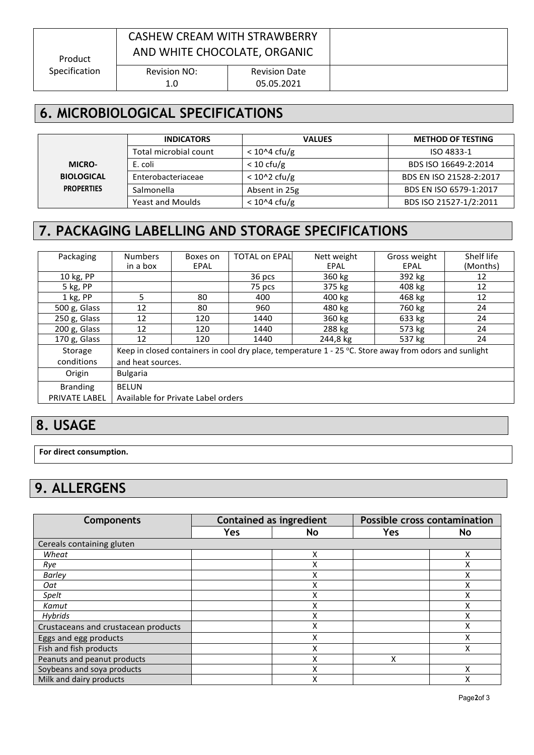| Product       | CASHEW CREAM WITH STRAWBERRY<br>AND WHITE CHOCOLATE, ORGANIC |                                    |  |
|---------------|--------------------------------------------------------------|------------------------------------|--|
| Specification | Revision NO:<br>1.0                                          | <b>Revision Date</b><br>05.05.2021 |  |

# **6. MICROBIOLOGICAL SPECIFICATIONS**

|                   | <b>INDICATORS</b>       | <b>VALUES</b>                  | <b>METHOD OF TESTING</b> |
|-------------------|-------------------------|--------------------------------|--------------------------|
|                   | Total microbial count   | $< 10^{\circ}4 \text{ cftu/g}$ | ISO 4833-1               |
| <b>MICRO-</b>     | E. coli                 | $< 10 \text{ cfu/g}$           | BDS ISO 16649-2:2014     |
| <b>BIOLOGICAL</b> | Enterobacteriaceae      | $< 10^2$ cfu/g                 | BDS EN ISO 21528-2:2017  |
| <b>PROPERTIES</b> | Salmonella              | Absent in 25g                  | BDS EN ISO 6579-1:2017   |
|                   | <b>Yeast and Moulds</b> | $< 10^{\circ}4 \text{ cftu/g}$ | BDS ISO 21527-1/2:2011   |

# **7. PACKAGING LABELLING AND STORAGE SPECIFICATIONS**

| Packaging       | <b>Numbers</b>                     | Boxes on | <b>TOTAL on EPAL</b> | Nett weight                                                                                              | Gross weight | Shelf life |
|-----------------|------------------------------------|----------|----------------------|----------------------------------------------------------------------------------------------------------|--------------|------------|
|                 | in a box                           | EPAL     |                      | EPAL                                                                                                     | EPAL         | (Months)   |
| 10 kg, PP       |                                    |          | 36 pcs               | 360 kg                                                                                                   | 392 kg       | 12         |
| 5 kg, PP        |                                    |          | 75 pcs               | 375 kg                                                                                                   | 408 kg       | 12         |
| 1 kg, PP        | 5                                  | 80       | 400                  | 400 kg                                                                                                   | 468 kg       | 12         |
| 500 g, Glass    | 12                                 | 80       | 960                  | 480 kg                                                                                                   | 760 kg       | 24         |
| 250 g, Glass    | 12                                 | 120      | 1440                 | 360 kg                                                                                                   | 633 kg       | 24         |
| 200 g, Glass    | 12                                 | 120      | 1440                 | 288 kg                                                                                                   | 573 kg       | 24         |
| 170 g, Glass    | 12                                 | 120      | 1440                 | 244,8 kg                                                                                                 | 537 kg       | 24         |
| Storage         |                                    |          |                      | Keep in closed containers in cool dry place, temperature $1 - 25$ °C. Store away from odors and sunlight |              |            |
| conditions      | and heat sources.                  |          |                      |                                                                                                          |              |            |
| Origin          | <b>Bulgaria</b>                    |          |                      |                                                                                                          |              |            |
| <b>Branding</b> | <b>BELUN</b>                       |          |                      |                                                                                                          |              |            |
| PRIVATE LABEL   | Available for Private Label orders |          |                      |                                                                                                          |              |            |

#### **8. USAGE**

**For direct consumption.**

# **9. ALLERGENS**

| <b>Components</b>                   | <b>Contained as ingredient</b> |    | Possible cross contamination |              |
|-------------------------------------|--------------------------------|----|------------------------------|--------------|
|                                     | Yes                            | No | Yes                          | <b>No</b>    |
| Cereals containing gluten           |                                |    |                              |              |
| Wheat                               |                                | X  |                              | x            |
| Rye                                 |                                | ⋏  |                              |              |
| <b>Barley</b>                       |                                | ⋏  |                              | $\checkmark$ |
| Oat                                 |                                | ∧  |                              | χ            |
| Spelt                               |                                |    |                              |              |
| Kamut                               |                                | X  |                              | Χ            |
| <b>Hybrids</b>                      |                                | ⋏  |                              | χ            |
| Crustaceans and crustacean products |                                | Χ  |                              | X            |
| Eggs and egg products               |                                | x  |                              | Χ            |
| Fish and fish products              |                                |    |                              | v            |
| Peanuts and peanut products         |                                | Χ  | X                            |              |
| Soybeans and soya products          |                                | ⋏  |                              |              |
| Milk and dairy products             |                                | ⋏  |                              | χ            |